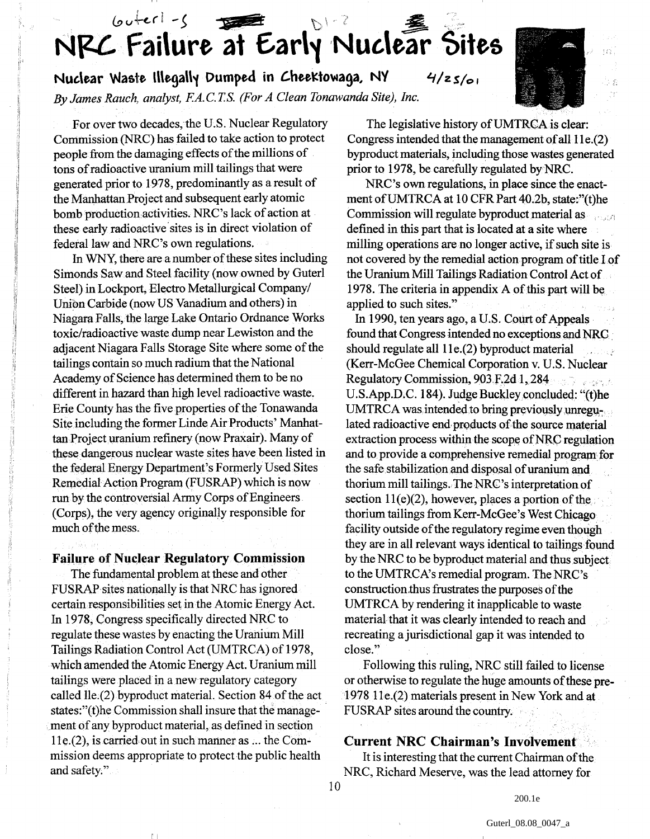# $60+er1-\zeta$ NRC Failure at Early Nuclear Sites

Nuclear Waste Illegally Dumped in CheeKtowaga, NY 4/zs/01

*By James Ranch, analyst, EA.C.T.S. (For A Clean Tonawanda Site), Inc.*

For over two decades, the U.S. Nuclear Regulatory Commission (NRC) has failed to take action to protect people from the damaging effects of the millions of tons of radioactive uranium mill tailings that were generated prior to 1978, predominantly as a result of the Manhattan Project and subsequent early atomic bomb production activities. NRC's lack of action at these early radioactive sites is in direct violation of federal law and NRC's own regulations.

In WNY, there are a number of these sites including Simonds Saw and Steel facility (now owned by Guterl Steel) in Lockport, Electro Metallurgical Company/ Union Carbide (now US Vanadium and others) in Niagara Falls, the large Lake Ontario Ordnance Works toxic/radioactive waste dump near Lewiston and the adjacent Niagara Falls Storage Site where some of the tailings contain so much radium that the National Academy of Science has determined them to be no different in hazard than high level radioactive waste. Erie County has the five properties of the Tonawanda Site including the former Linde Air Products' Manhattan Project uranium refinery (now Praxair). Many of these dangerous nuclear waste sites have been listed in the federal Energy Department's Formerly Used Sites Remedial Action Program (FUSRAP) which is now run by the controversial Army Corps of Engineers (Corps), the very agency originally responsible for much of the mess.

**Failure of Nuclear Regulatory Commission** The fundamental problem at these and other FUSRAP sites nationally is that NRC has ignored certain responsibilities set in the Atomic Energy Act. In 1978, Congress specifically directed NRC to regulate these wastes by enacting the Uranium Mill Tailings Radiation Control Act (UMTRCA) of 1978, which amended the Atomic Energy Act. Uranium mill tailings were placed in a new regulatory category called lle.(2) byproduct material. Section 84 of the act states:"(t)he Commission shall insure that the management of any byproduct material, as defined in section lle.(2), is carried out in such manner as ... the Commission deems appropriate to protect the public health and safety."

 $\mathbb{L}$ 

The legislative history of UMTRCA is clear: Congress intended that the management of all 11e.(2) byproduct materials, including those wastes generated prior to 1978, be carefully regulated by NRC.

NRC's own regulations, in place since the enactment of UMTRCA at 10 CFR Part 40.2b, state:"(t)he Commission will regulate byproduct material as defined in this part that is located at a site where milling operations are no longer active, if such site is not covered by the remedial action program of title I of the Uranium Mill Tailings Radiation Control Act of 1978. The criteria in appendix A of this part will be applied to such sites."

In 1990, ten years ago, a U.S. Court of Appeals found that Congress intended no exceptions and NRG should regulate all  $11e(2)$  byproduct material (Kerr-McGee Chemical Corporation v. U.S. Nuclear Regulatory Commission, 903 F.2d 1,284 งเขาโดย แต่เหลี่ยม ซึ่ง U.S.App.D.C. 184). Judge Buckley concluded: "(t)he UMTRCA was intended to bring previously unregulated radioactive end products of the source material extraction process within the scope of NRC regulation and to provide a comprehensive remedial program for the safe stabilization and disposal of uranium and thorium mill tailings. The NRC's interpretation of section 11(e)(2), however, places a portion of the thorium tailings from Kerr-McGee's West Chicago facility outside of the regulatory regime even though they are in all relevant ways identical to tailings found by the NRC to be byproduct material and thus subject to the UMTRCA's remedial program. The NRC's construction .thus frustrates the purposes of the UMTRCA by rendering it inapplicable to waste material that it was clearly intended to reach and recreating ajurisdictional gap it was intended to close."

Following this ruling, NRC still failed to license or otherwise to regulate the huge amounts of these pre-1978 lle.(2) materials present in New York and at FUSRAP sites around the country.

### **Current NRC Chairman's Involvement**

It is interesting that the current Chairman of the NRC, Richard Meserve, was the lead attorney for

200.1e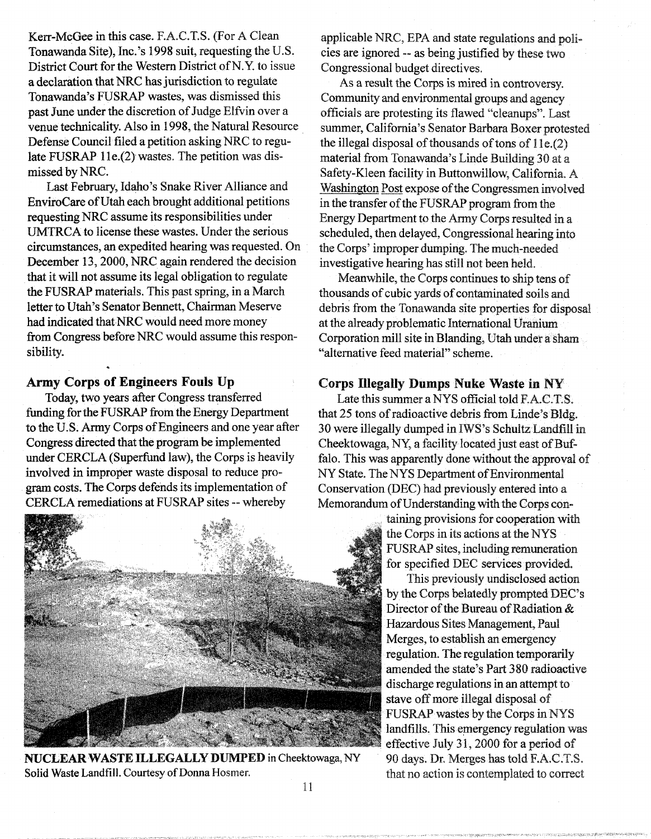Kerr-McGee in this case. F.A.C.T.S. (For A Clean Tonawanda Site), Inc.'s 1998 suit, requesting the U.S. District Court for the Western District of N.Y. to issue a declaration that NRC has jurisdiction to regulate Tonawanda's FUSRAP wastes, was dismissed this past June under the discretion of Judge Elfvin over a venue technicality. Also in 1998, the Natural Resource Defense Council filed a petition asking NRC to regulate FUSRAP lle.(2) wastes. The petition was dismissed by NRC.

Last February, Idaho's Snake River Alliance and EnviroCare of Utah each brought additional petitions requesting NRC assume its responsibilities under UMTRCA to license these wastes. Under the serious circumstances, an expedited hearing was requested. On December 13, 2000, NRC again rendered the decision that it will not assume its legal obligation to regulate the FUSRAP materials. This past spring, in a March letter to Utah's Senator Bennett, Chairman Meserve had indicated that NRC would need more money from Congress before NRC would assume this responsibility.

#### **Army Corps of Engineers Fouls** Up

**\***

Today, two years after Congress transferred funding for the FUSRAP from the Energy Department to the U.S. Army Corps of Engineers and one year after Congress directed that the program be implemented under CERCLA (Superfund law), the Corps is heavily involved in improper waste disposal to reduce program costs. The Corps defends its implementation of CERCLA remediations at FUSRAP sites - whereby



**NUCLEAR** WASTE ILLEGALLY DUMPED in Cheektowaga, NY Solid Waste Landfill. Courtesy of Donna Hosmer.

applicable NRC, EPA and state regulations and policies are ignored - as being justified by these two Congressional budget directives.

As a result the Corps is mired in controversy. Community and environmental groups and agency officials are protesting its flawed "cleanups". Last summer, California's Senator Barbara Boxer protested the illegal disposal of thousands of tons of 1 **le.(2)** material from Tonawanda's Linde Building 30 at a Safety-Kleen facility in Buttonwillow, California. A Washington Post expose of the Congressmen involved in the transfer of the FUSRAP program from the Energy Department to the Army Corps resulted in a scheduled, then delayed, Congressional hearing into the Corps' improper dumping. The much-needed investigative hearing has still not been held.

Meanwhile, the Corps continues to ship tens of thousands of cubic yards of contaminated soils and debris from the Tonawanda site properties for disposal at the already problematic International Uranium Corporation mill site in Blanding, Utah under a sham "alternative feed material" scheme.

#### Corps **Illegally** Dumps Nuke Waste **in** NY

Late this summer a NYS official told F.A.C.T.S. that 25 tons of radioactive debris from Linde's Bldg. 30 were illegally dumped in IWS's Schultz Landfill in Cheektowaga, NY, a facility located just east of **Buffalo.** This was apparently done without the approval of NY State. The NYS Department of Environmental Conservation (DEC) had previously entered into a Memorandum of Understanding with the Corps con-

taining provisions for cooperation with the Corps in its actions at the NYS FUSRAP sites, including remuneration for specified DEC services provided.

This previously undisclosed action by the Corps belatedly prompted DEC's Director of the Bureau of Radiation & Hazardous Sites Management, Paul Merges, to establish an emergency • regulation. The regulation temporarily amended the state's Part 380 radioactive discharge regulations in an attempt to stave off more illegal disposal of FUSRAP wastes by the Corps in NYS landfills. This emergency regulation was effective July 31,2000 for a period of 90 days. Dr. Merges has told F.A.C.T.S. that no action is contemplated to correct